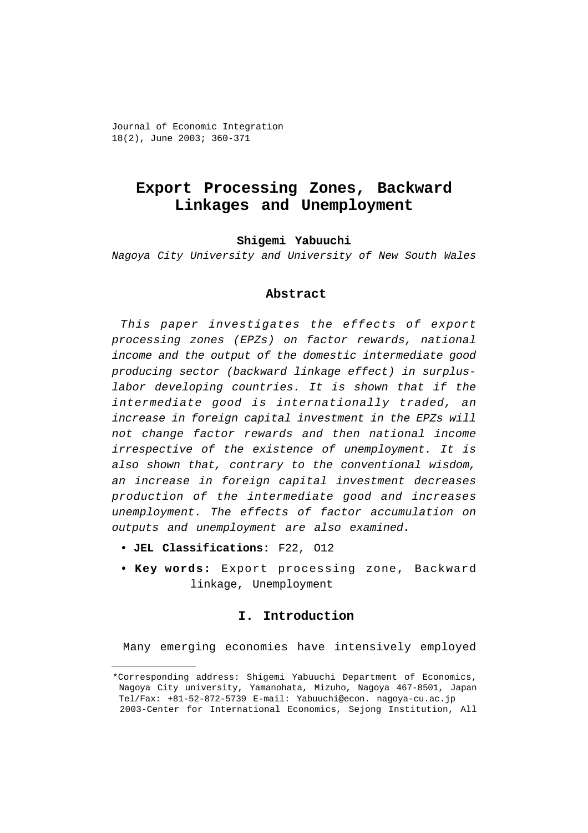Journal of Economic Integration 18(2), June 2003; 360-371

# **Export Processing Zones, Backward Linkages and Unemployment**

# **Shigemi Yabuuchi**

Nagoya City University and University of New South Wales

## **Abstract**

This paper investigates the effects of export processing zones (EPZs) on factor rewards, national income and the output of the domestic intermediate good producing sector (backward linkage effect) in surpluslabor developing countries. It is shown that if the intermediate good is internationally traded, an increase in foreign capital investment in the EPZs will not change factor rewards and then national income irrespective of the existence of unemployment. It is also shown that, contrary to the conventional wisdom, an increase in foreign capital investment decreases production of the intermediate good and increases unemployment. The effects of factor accumulation on outputs and unemployment are also examined.

- **JEL Classifications:** F22, O12
- **Key words:** Export processing zone, Backward linkage, Unemployment

# **I. Introduction**

Many emerging economies have intensively employed

<sup>\*</sup>Corresponding address: Shigemi Yabuuchi Department of Economics, Nagoya City university, Yamanohata, Mizuho, Nagoya 467-8501, Japan Tel/Fax: +81-52-872-5739 E-mail: Yabuuchi@econ. nagoya-cu.ac.jp 2003-Center for International Economics, Sejong Institution, All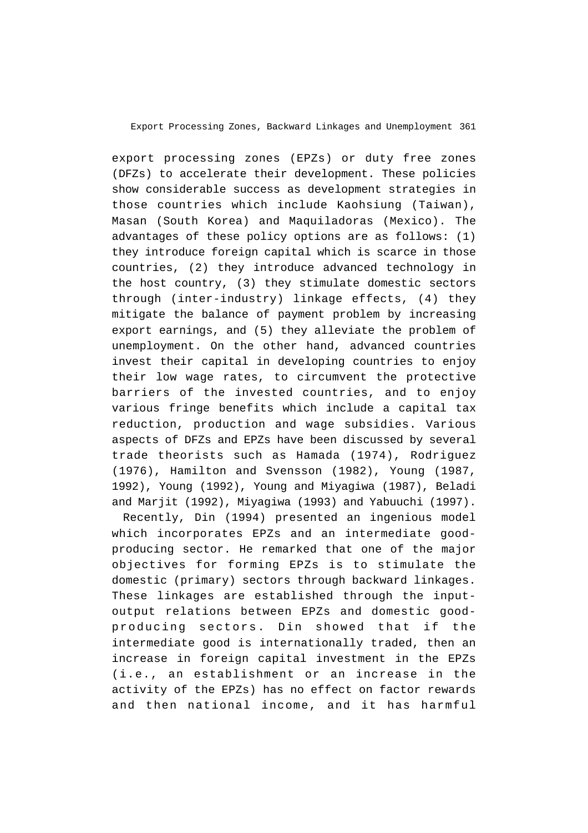export processing zones (EPZs) or duty free zones (DFZs) to accelerate their development. These policies show considerable success as development strategies in those countries which include Kaohsiung (Taiwan), Masan (South Korea) and Maquiladoras (Mexico). The advantages of these policy options are as follows: (1) they introduce foreign capital which is scarce in those countries, (2) they introduce advanced technology in the host country, (3) they stimulate domestic sectors through (inter-industry) linkage effects, (4) they mitigate the balance of payment problem by increasing export earnings, and (5) they alleviate the problem of unemployment. On the other hand, advanced countries invest their capital in developing countries to enjoy their low wage rates, to circumvent the protective barriers of the invested countries, and to enjoy various fringe benefits which include a capital tax reduction, production and wage subsidies. Various aspects of DFZs and EPZs have been discussed by several trade theorists such as Hamada (1974), Rodriguez (1976), Hamilton and Svensson (1982), Young (1987, 1992), Young (1992), Young and Miyagiwa (1987), Beladi and Marjit (1992), Miyagiwa (1993) and Yabuuchi (1997).

Recently, Din (1994) presented an ingenious model which incorporates EPZs and an intermediate goodproducing sector. He remarked that one of the major objectives for forming EPZs is to stimulate the domestic (primary) sectors through backward linkages. These linkages are established through the inputoutput relations between EPZs and domestic goodproducing sectors. Din showed that if the intermediate good is internationally traded, then an increase in foreign capital investment in the EPZs (i.e., an establishment or an increase in the activity of the EPZs) has no effect on factor rewards and then national income, and it has harmful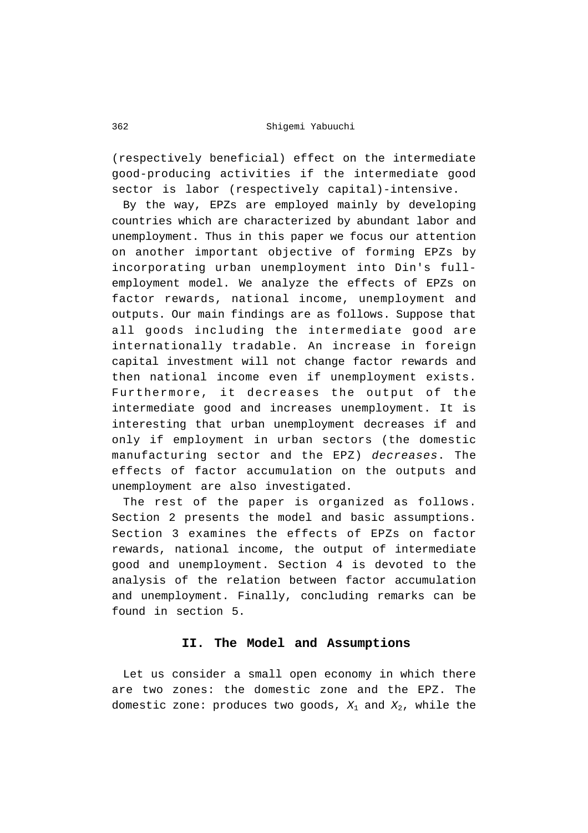(respectively beneficial) effect on the intermediate good-producing activities if the intermediate good sector is labor (respectively capital)-intensive.

By the way, EPZs are employed mainly by developing countries which are characterized by abundant labor and unemployment. Thus in this paper we focus our attention on another important objective of forming EPZs by incorporating urban unemployment into Din's fullemployment model. We analyze the effects of EPZs on factor rewards, national income, unemployment and outputs. Our main findings are as follows. Suppose that all goods including the intermediate good are internationally tradable. An increase in foreign capital investment will not change factor rewards and then national income even if unemployment exists. Furthermore, it decreases the output of the intermediate good and increases unemployment. It is interesting that urban unemployment decreases if and only if employment in urban sectors (the domestic manufacturing sector and the EPZ) decreases. The effects of factor accumulation on the outputs and unemployment are also investigated.

The rest of the paper is organized as follows. Section 2 presents the model and basic assumptions. Section 3 examines the effects of EPZs on factor rewards, national income, the output of intermediate good and unemployment. Section 4 is devoted to the analysis of the relation between factor accumulation and unemployment. Finally, concluding remarks can be found in section 5.

# **II. The Model and Assumptions**

Let us consider a small open economy in which there are two zones: the domestic zone and the EPZ. The domestic zone: produces two goods,  $X_1$  and  $X_2$ , while the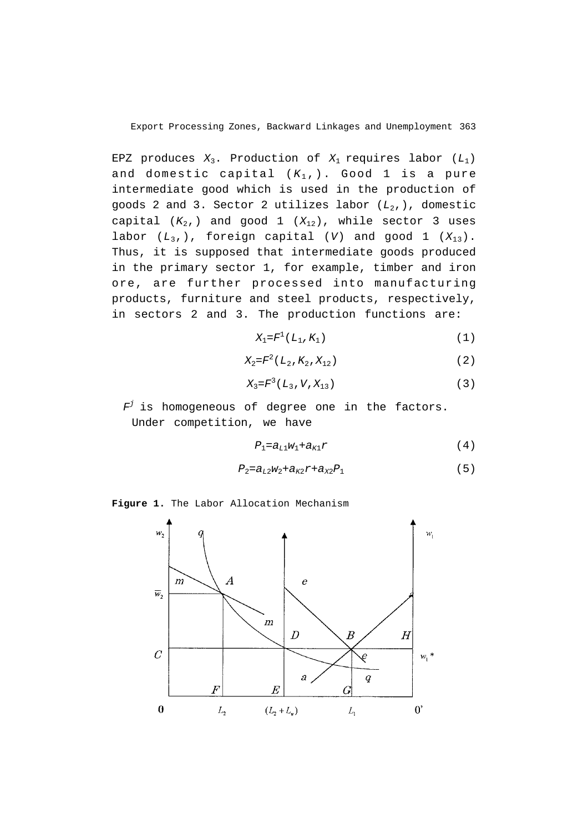EPZ produces  $X_3$ . Production of  $X_1$  requires labor  $(L_1)$ and domestic capital  $(K_1, )$ . Good 1 is a pure intermediate good which is used in the production of goods 2 and 3. Sector 2 utilizes labor  $(L_2, )$ , domestic capital  $(K_2)$ , and good 1  $(X_{12})$ , while sector 3 uses labor  $(L_3)$ , foreign capital  $(V)$  and good 1  $(X_{13})$ . Thus, it is supposed that intermediate goods produced in the primary sector 1, for example, timber and iron ore, are further processed into manufacturing products, furniture and steel products, respectively, in sectors 2 and 3. The production functions are:

$$
X_1 = F^1(L_1, K_1) \tag{1}
$$

$$
X_2 = F^2(L_2, K_2, X_{12})
$$
 (2)

$$
X_3 = F^3(L_3, V, X_{13})
$$
\n(3)

 $F^j$  is homogeneous of degree one in the factors. Under competition, we have

$$
P_1 = a_{L1}W_1 + a_{K1}r \tag{4}
$$

$$
P_2 = a_{L2}w_2 + a_{K2}r + a_{X2}P_1
$$
\n(5)

**Figure 1.** The Labor Allocation Mechanism

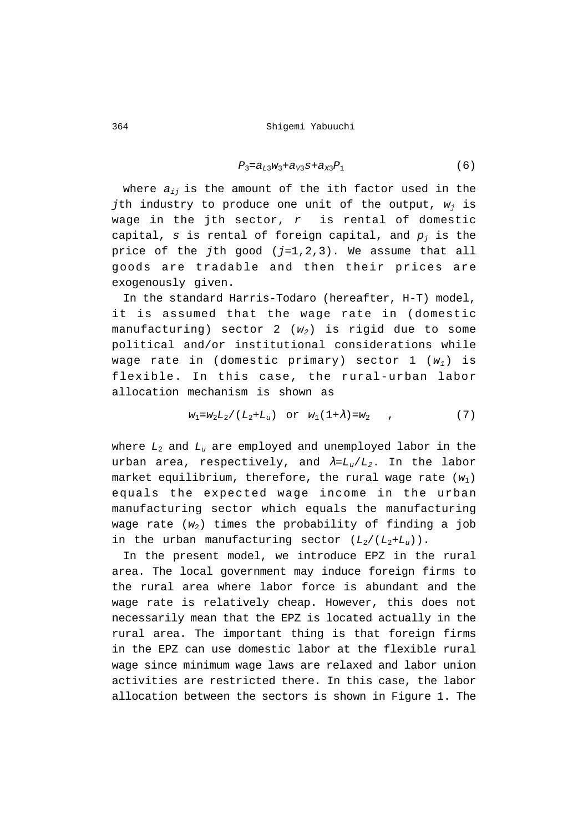$$
P_3 = a_{L3}W_3 + a_{V3}S + a_{X3}P_1 \tag{6}
$$

where  $a_{ij}$  is the amount of the ith factor used in the jth industry to produce one unit of the output,  $w_i$  is wage in the jth sector,  $r$  is rental of domestic capital, s is rental of foreign capital, and  $p_j$  is the price of the jth good  $(j=1,2,3)$ . We assume that all goods are tradable and then their prices are exogenously given.

In the standard Harris-Todaro (hereafter, H-T) model, it is assumed that the wage rate in (domestic manufacturing) sector 2  $(w_2)$  is rigid due to some political and/or institutional considerations while wage rate in (domestic primary) sector  $1 \left( w_1 \right)$  is flexible. In this case, the rural-urban labor allocation mechanism is shown as

$$
w_1 = w_2 L_2 / (L_2 + L_u) \quad \text{or} \quad w_1 (1 + \lambda) = w_2 \quad , \tag{7}
$$

where  $L_2$  and  $L_u$  are employed and unemployed labor in the urban area, respectively, and  $\lambda = L_u/L_2$ . In the labor market equilibrium, therefore, the rural wage rate  $(w_1)$ equals the expected wage income in the urban manufacturing sector which equals the manufacturing wage rate  $(w_2)$  times the probability of finding a job in the urban manufacturing sector  $(L_2/(L_2+L_1))$ .

In the present model, we introduce EPZ in the rural area. The local government may induce foreign firms to the rural area where labor force is abundant and the wage rate is relatively cheap. However, this does not necessarily mean that the EPZ is located actually in the rural area. The important thing is that foreign firms in the EPZ can use domestic labor at the flexible rural wage since minimum wage laws are relaxed and labor union activities are restricted there. In this case, the labor allocation between the sectors is shown in Figure 1. The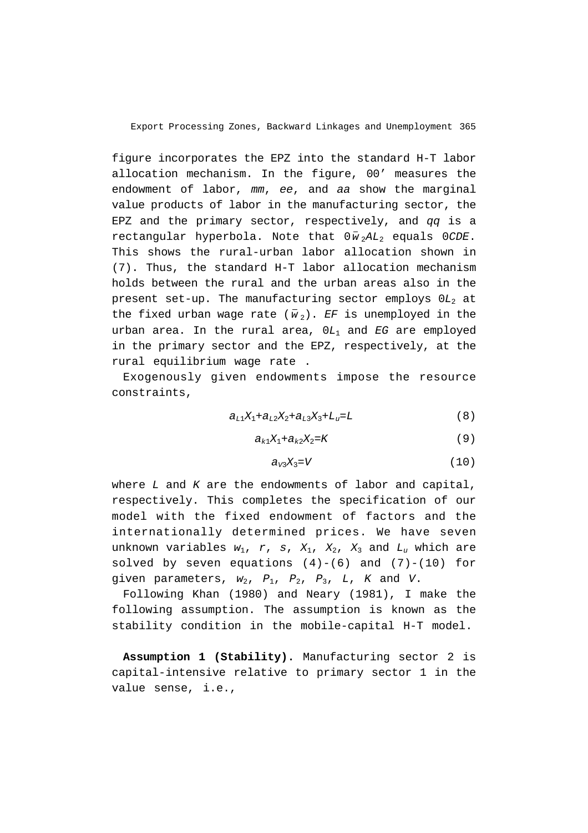figure incorporates the EPZ into the standard H-T labor allocation mechanism. In the figure, 00' measures the endowment of labor, mm, ee, and aa show the marginal value products of labor in the manufacturing sector, the EPZ and the primary sector, respectively, and qq is a rectangular hyperbola. Note that  $0\,\overline{w}\, {}_2\text{AL}_2$  equals  $0\text{CDE}$ . This shows the rural-urban labor allocation shown in (7). Thus, the standard H-T labor allocation mechanism holds between the rural and the urban areas also in the present set-up. The manufacturing sector employs  $0L<sub>2</sub>$  at the fixed urban wage rate ( $\overline{w}_2$ ). EF is unemployed in the urban area. In the rural area,  $0L_1$  and EG are employed in the primary sector and the EPZ, respectively, at the rural equilibrium wage rate .

Exogenously given endowments impose the resource constraints,

$$
a_{L1}X_1 + a_{L2}X_2 + a_{L3}X_3 + L_u = L \tag{8}
$$

$$
a_{k1}X_1 + a_{k2}X_2 = K \tag{9}
$$

$$
a_{V3}X_3=V\tag{10}
$$

where  $L$  and  $K$  are the endowments of labor and capital, respectively. This completes the specification of our model with the fixed endowment of factors and the internationally determined prices. We have seven unknown variables  $w_1$ ,  $r$ ,  $s$ ,  $X_1$ ,  $X_2$ ,  $X_3$  and  $L_u$  which are solved by seven equations  $(4)-(6)$  and  $(7)-(10)$  for given parameters,  $w_2$ ,  $P_1$ ,  $P_2$ ,  $P_3$ ,  $L$ ,  $K$  and  $V$ .

Following Khan (1980) and Neary (1981), I make the following assumption. The assumption is known as the stability condition in the mobile-capital H-T model.

**Assumption 1 (Stability).** Manufacturing sector 2 is capital-intensive relative to primary sector 1 in the value sense, i.e.,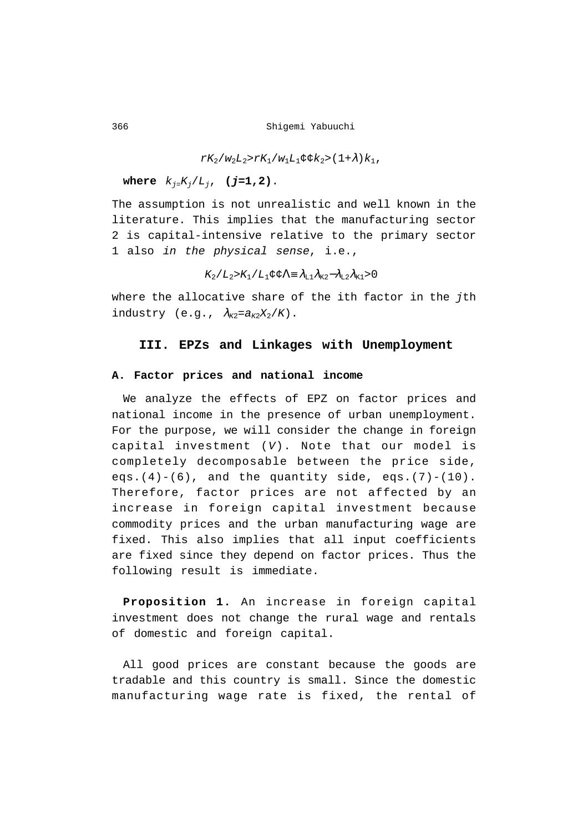$$
rk_2/w_2L_2 > rK_1/w_1L_1 \phi \phi k_2 > (1+\lambda)k_1
$$
,

**where**  $k_{j=1}K_{j}/L_{j}$ , **(j=1,2)**.

The assumption is not unrealistic and well known in the literature. This implies that the manufacturing sector 2 is capital-intensive relative to the primary sector 1 also in the physical sense, i.e.,

$$
K_2/L_2 > K_1/L_1 \phi \phi \Lambda \equiv \lambda_{L1} \lambda_{K2} - \lambda_{L2} \lambda_{K1} > 0
$$

where the allocative share of the ith factor in the jth industry (e.g.,  $\lambda_{K2} = a_{K2}X_2/K$ ).

## **III. EPZs and Linkages with Unemployment**

#### **A. Factor prices and national income**

We analyze the effects of EPZ on factor prices and national income in the presence of urban unemployment. For the purpose, we will consider the change in foreign capital investment (V). Note that our model is completely decomposable between the price side, eqs.(4)-(6), and the quantity side, eqs.(7)-(10). Therefore, factor prices are not affected by an increase in foreign capital investment because commodity prices and the urban manufacturing wage are fixed. This also implies that all input coefficients are fixed since they depend on factor prices. Thus the following result is immediate.

**Proposition 1.** An increase in foreign capital investment does not change the rural wage and rentals of domestic and foreign capital.

All good prices are constant because the goods are tradable and this country is small. Since the domestic manufacturing wage rate is fixed, the rental of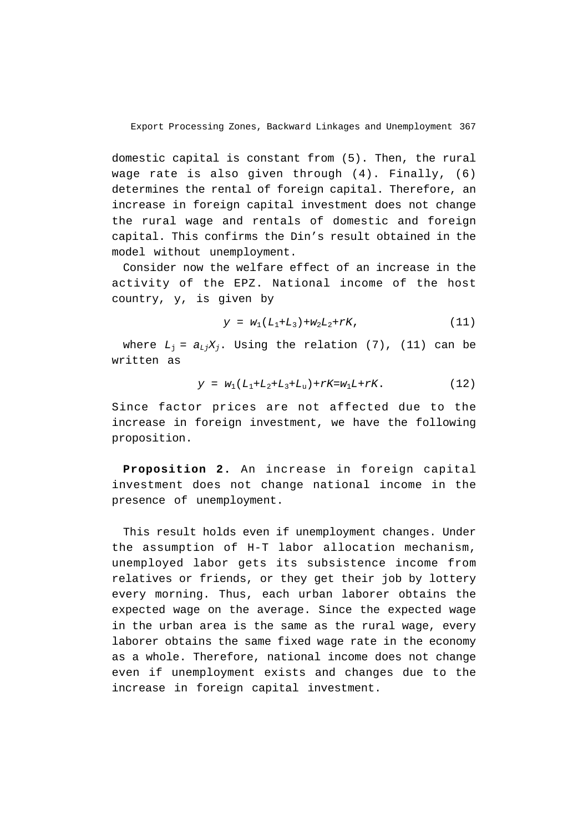domestic capital is constant from (5). Then, the rural wage rate is also given through (4). Finally, (6) determines the rental of foreign capital. Therefore, an increase in foreign capital investment does not change the rural wage and rentals of domestic and foreign capital. This confirms the Din's result obtained in the model without unemployment.

Consider now the welfare effect of an increase in the activity of the EPZ. National income of the host country, y, is given by

$$
y = w_1(L_1 + L_3) + w_2L_2 + rK, \qquad (11)
$$

where  $L_j = a_{Lj}X_j$ . Using the relation (7), (11) can be written as

$$
y = w_1 (L_1 + L_2 + L_3 + L_u) + rK = w_1 L + rK.
$$
 (12)

Since factor prices are not affected due to the increase in foreign investment, we have the following proposition.

**Proposition 2.** An increase in foreign capital investment does not change national income in the presence of unemployment.

This result holds even if unemployment changes. Under the assumption of H-T labor allocation mechanism, unemployed labor gets its subsistence income from relatives or friends, or they get their job by lottery every morning. Thus, each urban laborer obtains the expected wage on the average. Since the expected wage in the urban area is the same as the rural wage, every laborer obtains the same fixed wage rate in the economy as a whole. Therefore, national income does not change even if unemployment exists and changes due to the increase in foreign capital investment.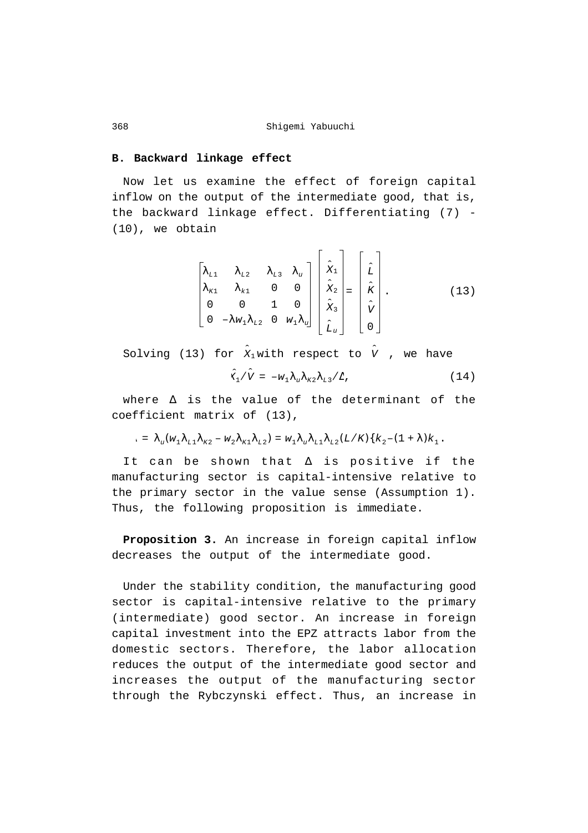#### **B. Backward linkage effect**

Now let us examine the effect of foreign capital inflow on the output of the intermediate good, that is, the backward linkage effect. Differentiating (7) - (10), we obtain

$$
\begin{bmatrix}\n\lambda_{L1} & \lambda_{L2} & \lambda_{L3} & \lambda_u \\
\lambda_{K1} & \lambda_{K1} & 0 & 0 \\
0 & 0 & 1 & 0 \\
0 & -\lambda w_1 \lambda_{L2} & 0 & w_1 \lambda_u\n\end{bmatrix}\n\begin{bmatrix}\n\hat{x}_1 \\
\hat{x}_2 \\
\hat{x}_3 \\
\hat{L}_u\n\end{bmatrix} =\n\begin{bmatrix}\n\hat{L} \\
\hat{L} \\
\hat{\kappa} \\
0\n\end{bmatrix}.
$$
\n(13)

Solving (13) for  $\hat{X}_1$ with respect to  $\hat{V}$  , we have  $(14)$  $\hat{\mathfrak{C}}_1/\hat{V} \ = \ -w_1 \lambda_u \lambda_{\kappa 2} \lambda_{\kappa 3}/\Delta$ 

where ∆ is the value of the determinant of the coefficient matrix of (13),

$$
= \lambda_{u}(w_{1}\lambda_{L1}\lambda_{K2} - w_{2}\lambda_{K1}\lambda_{L2}) = w_{1}\lambda_{u}\lambda_{L1}\lambda_{L2}(L/K)\{k_{2}-(1+\lambda)k_{1}.\}
$$

It can be shown that  $\Delta$  is positive if the manufacturing sector is capital-intensive relative to the primary sector in the value sense (Assumption 1). Thus, the following proposition is immediate.

**Proposition 3.** An increase in foreign capital inflow decreases the output of the intermediate good.

Under the stability condition, the manufacturing good sector is capital-intensive relative to the primary (intermediate) good sector. An increase in foreign capital investment into the EPZ attracts labor from the domestic sectors. Therefore, the labor allocation reduces the output of the intermediate good sector and increases the output of the manufacturing sector through the Rybczynski effect. Thus, an increase in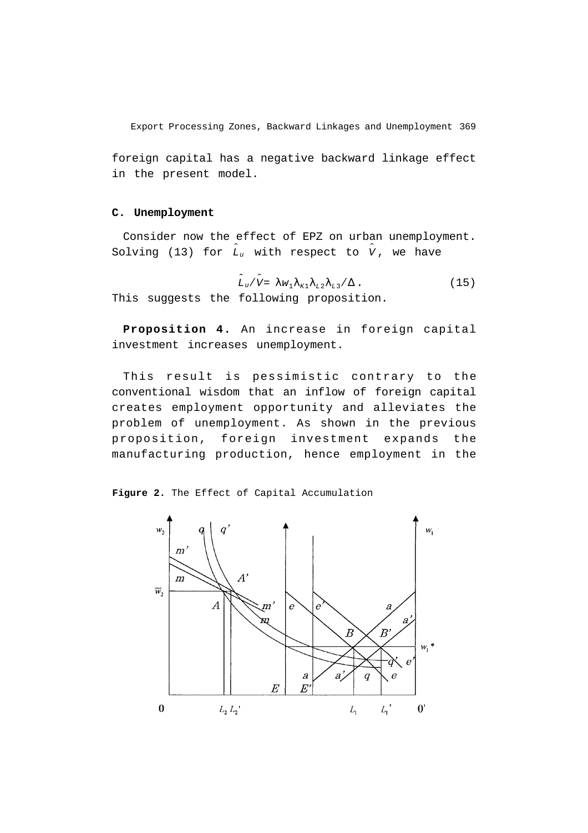foreign capital has a negative backward linkage effect in the present model.

#### **C. Unemployment**

Consider now the effect of EPZ on urban unemployment. Solving (13) for  $\hat{L}_u$  with respect to  $\hat{V}$ , we have

$$
\hat{L}_u/\hat{V} = \lambda w_1 \lambda_{K1} \lambda_{L2} \lambda_{L3} / \Delta . \qquad (15)
$$

This suggests the following proposition.

**Proposition 4.** An increase in foreign capital investment increases unemployment.

This result is pessimistic contrary to the conventional wisdom that an inflow of foreign capital creates employment opportunity and alleviates the problem of unemployment. As shown in the previous proposition, foreign investment expands the manufacturing production, hence employment in the

**Figure 2.** The Effect of Capital Accumulation

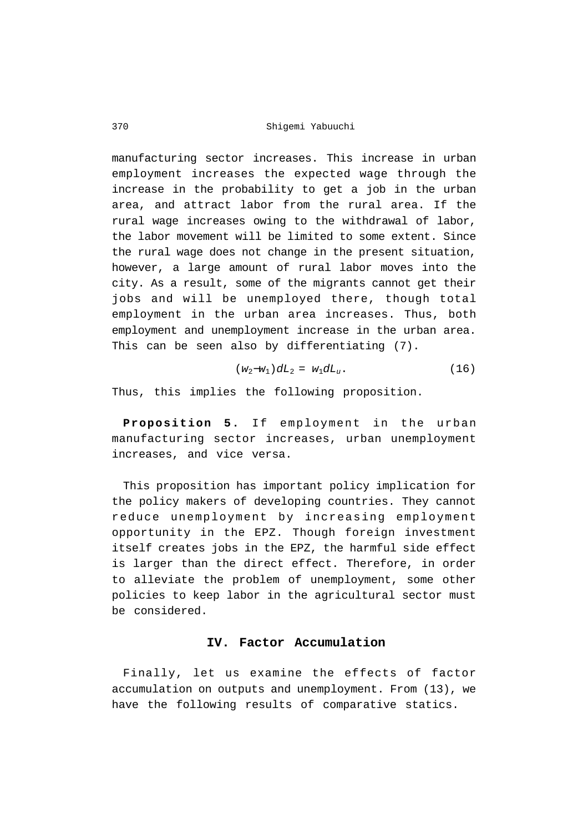manufacturing sector increases. This increase in urban employment increases the expected wage through the increase in the probability to get a job in the urban area, and attract labor from the rural area. If the rural wage increases owing to the withdrawal of labor, the labor movement will be limited to some extent. Since the rural wage does not change in the present situation, however, a large amount of rural labor moves into the city. As a result, some of the migrants cannot get their jobs and will be unemployed there, though total employment in the urban area increases. Thus, both employment and unemployment increase in the urban area. This can be seen also by differentiating (7).

$$
(w_2-w_1) dL_2 = w_1 dL_u.
$$
 (16)

Thus, this implies the following proposition.

**Proposition 5.** If employment in the urban manufacturing sector increases, urban unemployment increases, and vice versa.

This proposition has important policy implication for the policy makers of developing countries. They cannot reduce unemployment by increasing employment opportunity in the EPZ. Though foreign investment itself creates jobs in the EPZ, the harmful side effect is larger than the direct effect. Therefore, in order to alleviate the problem of unemployment, some other policies to keep labor in the agricultural sector must be considered.

# **IV. Factor Accumulation**

Finally, let us examine the effects of factor accumulation on outputs and unemployment. From (13), we have the following results of comparative statics.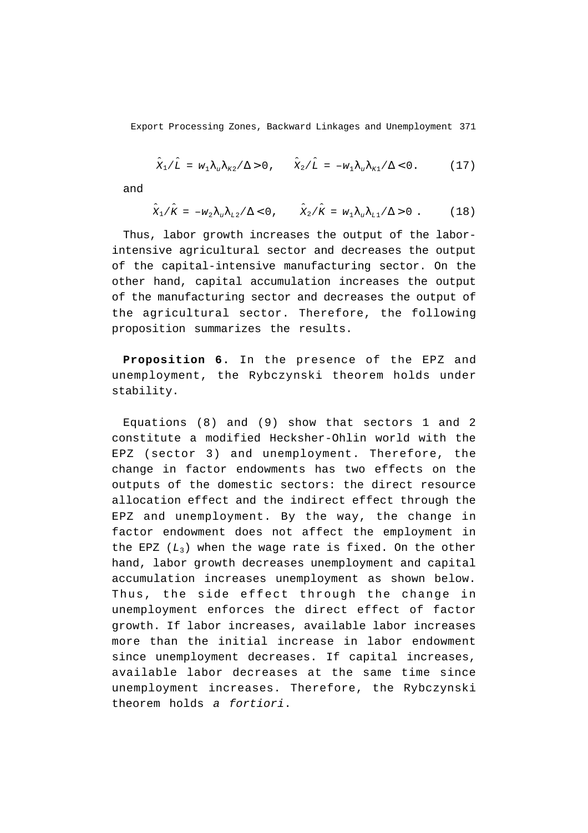$$
\hat{\dot{X}}_1/\hat{L} = w_1 \lambda_u \lambda_{K2}/\Delta > 0, \qquad \hat{\dot{X}}_2/\hat{L} = -w_1 \lambda_u \lambda_{K1}/\Delta < 0. \tag{17}
$$

and

$$
\hat{X}_1/\hat{K} = -w_2 \lambda_u \lambda_{L2}/\Delta < 0 , \qquad \hat{X}_2/\hat{K} = w_1 \lambda_u \lambda_{L1}/\Delta > 0 . \qquad (18)
$$

Thus, labor growth increases the output of the laborintensive agricultural sector and decreases the output of the capital-intensive manufacturing sector. On the other hand, capital accumulation increases the output of the manufacturing sector and decreases the output of the agricultural sector. Therefore, the following proposition summarizes the results.

**Proposition 6.** In the presence of the EPZ and unemployment, the Rybczynski theorem holds under stability.

Equations (8) and (9) show that sectors 1 and 2 constitute a modified Hecksher-Ohlin world with the EPZ (sector 3) and unemployment. Therefore, the change in factor endowments has two effects on the outputs of the domestic sectors: the direct resource allocation effect and the indirect effect through the EPZ and unemployment. By the way, the change in factor endowment does not affect the employment in the EPZ  $(L_3)$  when the wage rate is fixed. On the other hand, labor growth decreases unemployment and capital accumulation increases unemployment as shown below. Thus, the side effect through the change in unemployment enforces the direct effect of factor growth. If labor increases, available labor increases more than the initial increase in labor endowment since unemployment decreases. If capital increases, available labor decreases at the same time since unemployment increases. Therefore, the Rybczynski theorem holds a fortiori.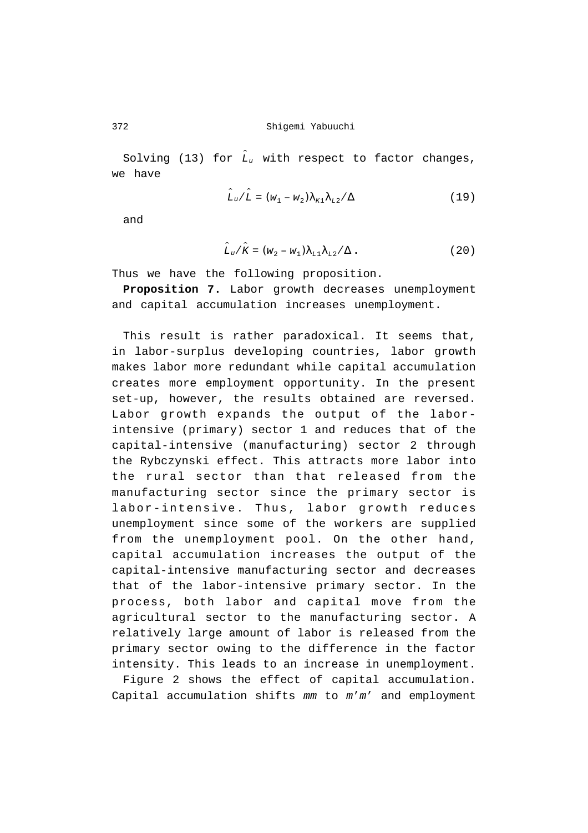Solving (13) for  $\hat{L}_u$  with respect to factor changes, we have

$$
\hat{L}_u / \hat{L} = (w_1 - w_2) \lambda_{K1} \lambda_{L2} / \Delta
$$
 (19)

and

$$
\hat{L}_u/\hat{K} = (w_2 - w_1)\lambda_{L1}\lambda_{L2}/\Delta . \qquad (20)
$$

Thus we have the following proposition.

**Proposition 7.** Labor growth decreases unemployment and capital accumulation increases unemployment.

This result is rather paradoxical. It seems that, in labor-surplus developing countries, labor growth makes labor more redundant while capital accumulation creates more employment opportunity. In the present set-up, however, the results obtained are reversed. Labor growth expands the output of the laborintensive (primary) sector 1 and reduces that of the capital-intensive (manufacturing) sector 2 through the Rybczynski effect. This attracts more labor into the rural sector than that released from the manufacturing sector since the primary sector is labor-intensive. Thus, labor growth reduces unemployment since some of the workers are supplied from the unemployment pool. On the other hand, capital accumulation increases the output of the capital-intensive manufacturing sector and decreases that of the labor-intensive primary sector. In the process, both labor and capital move from the agricultural sector to the manufacturing sector. A relatively large amount of labor is released from the primary sector owing to the difference in the factor intensity. This leads to an increase in unemployment.

Figure 2 shows the effect of capital accumulation. Capital accumulation shifts mm to m'm' and employment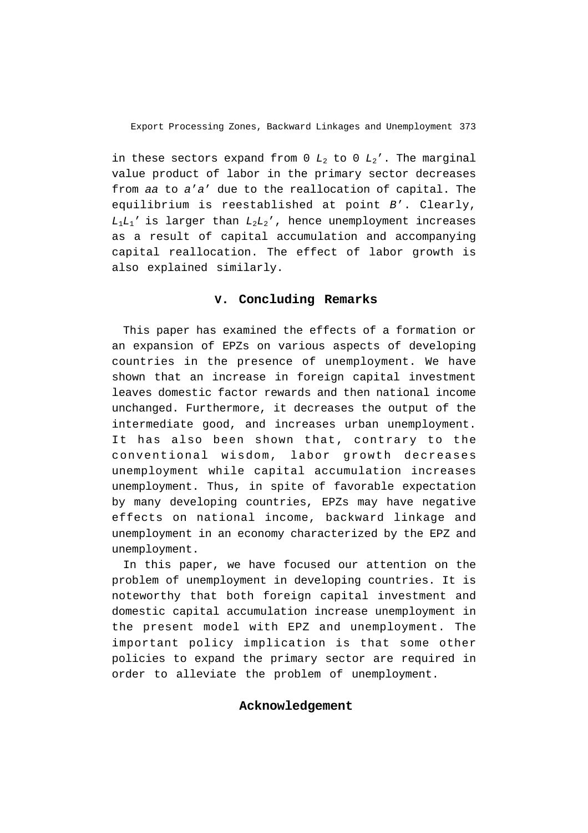in these sectors expand from 0  $L_2$  to 0  $L_2'$ . The marginal value product of labor in the primary sector decreases from aa to a'a' due to the reallocation of capital. The equilibrium is reestablished at point B'. Clearly,  $L_1L_1'$  is larger than  $L_2L_2'$ , hence unemployment increases as a result of capital accumulation and accompanying capital reallocation. The effect of labor growth is also explained similarly.

# **V. Concluding Remarks**

This paper has examined the effects of a formation or an expansion of EPZs on various aspects of developing countries in the presence of unemployment. We have shown that an increase in foreign capital investment leaves domestic factor rewards and then national income unchanged. Furthermore, it decreases the output of the intermediate good, and increases urban unemployment. It has also been shown that, contrary to the conventional wisdom, labor growth decreases unemployment while capital accumulation increases unemployment. Thus, in spite of favorable expectation by many developing countries, EPZs may have negative effects on national income, backward linkage and unemployment in an economy characterized by the EPZ and unemployment.

In this paper, we have focused our attention on the problem of unemployment in developing countries. It is noteworthy that both foreign capital investment and domestic capital accumulation increase unemployment in the present model with EPZ and unemployment. The important policy implication is that some other policies to expand the primary sector are required in order to alleviate the problem of unemployment.

# **Acknowledgement**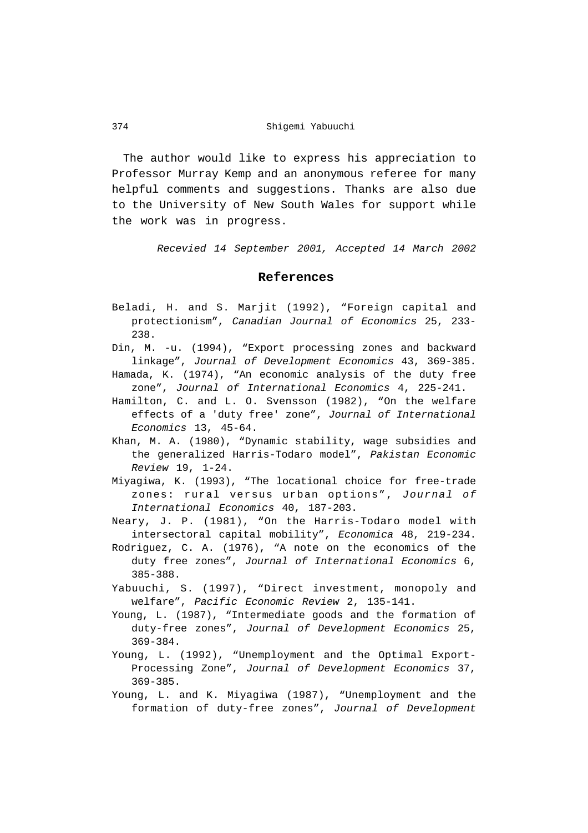The author would like to express his appreciation to Professor Murray Kemp and an anonymous referee for many helpful comments and suggestions. Thanks are also due to the University of New South Wales for support while the work was in progress.

Recevied 14 September 2001, Accepted 14 March 2002

#### **References**

- Beladi, H. and S. Marjit (1992), "Foreign capital and protectionism", Canadian Journal of Economics 25, 233- 238.
- Din, M. -u. (1994), "Export processing zones and backward linkage", Journal of Development Economics 43, 369-385.
- Hamada, K. (1974), "An economic analysis of the duty free zone", Journal of International Economics 4, 225-241.
- Hamilton, C. and L. O. Svensson (1982), "On the welfare effects of a 'duty free' zone", Journal of International Economics 13, 45-64.
- Khan, M. A. (1980), "Dynamic stability, wage subsidies and the generalized Harris-Todaro model", Pakistan Economic Review 19, 1-24.
- Miyagiwa, K. (1993), "The locational choice for free-trade zones: rural versus urban options", Journal of International Economics 40, 187-203.
- Neary, J. P. (1981), "On the Harris-Todaro model with intersectoral capital mobility", Economica 48, 219-234.
- Rodriguez, C. A. (1976), "A note on the economics of the duty free zones", Journal of International Economics 6, 385-388.
- Yabuuchi, S. (1997), "Direct investment, monopoly and welfare", Pacific Economic Review 2, 135-141.
- Young, L. (1987), "Intermediate goods and the formation of duty-free zones", Journal of Development Economics 25, 369-384.
- Young, L. (1992), "Unemployment and the Optimal Export-Processing Zone", Journal of Development Economics 37, 369-385.
- Young, L. and K. Miyagiwa (1987), "Unemployment and the formation of duty-free zones", Journal of Development